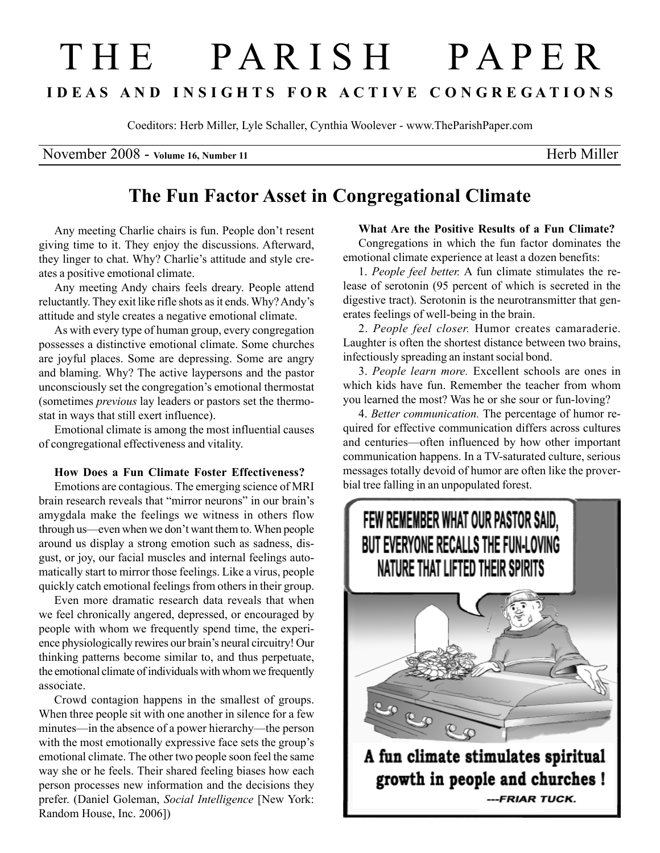# THE PARISH PAPER I D E A S A N D I N S I G H T S F O R A C T I V E C O N G R E G A T I O N S

Coeditors: Herb Miller, Lyle Schaller, Cynthia Woolever - www.TheParishPaper.com

November 2008 - Volume 16, Number 11 Herb Miller

# The Fun Factor Asset in Congregational Climate

Any meeting Charlie chairs is fun. People don't resent giving time to it. They enjoy the discussions. Afterward, they linger to chat. Why? Charlie's attitude and style creates a positive emotional climate.

Any meeting Andy chairs feels dreary. People attend reluctantly. They exit like rifle shots as it ends. Why? Andy's attitude and style creates a negative emotional climate.

As with every type of human group, every congregation possesses a distinctive emotional climate. Some churches are joyful places. Some are depressing. Some are angry and blaming. Why? The active laypersons and the pastor unconsciously set the congregation's emotional thermostat (sometimes previous lay leaders or pastors set the thermostat in ways that still exert influence).

Emotional climate is among the most influential causes of congregational effectiveness and vitality.

### How Does a Fun Climate Foster Effectiveness?

Emotions are contagious. The emerging science of MRI brain research reveals that "mirror neurons" in our brain's amygdala make the feelings we witness in others flow through us—even when we don't want them to. When people around us display a strong emotion such as sadness, disgust, or joy, our facial muscles and internal feelings automatically start to mirror those feelings. Like a virus, people quickly catch emotional feelings from others in their group.

Even more dramatic research data reveals that when we feel chronically angered, depressed, or encouraged by people with whom we frequently spend time, the experience physiologically rewires our brain's neural circuitry! Our thinking patterns become similar to, and thus perpetuate, the emotional climate of individuals with whom we frequently associate.

Crowd contagion happens in the smallest of groups. When three people sit with one another in silence for a few minutes—in the absence of a power hierarchy—the person with the most emotionally expressive face sets the group's emotional climate. The other two people soon feel the same way she or he feels. Their shared feeling biases how each person processes new information and the decisions they prefer. (Daniel Goleman, Social Intelligence [New York: Random House, Inc. 2006])

What Are the Positive Results of a Fun Climate?

Congregations in which the fun factor dominates the emotional climate experience at least a dozen benefits:

1. People feel better. A fun climate stimulates the release of serotonin (95 percent of which is secreted in the digestive tract). Serotonin is the neurotransmitter that generates feelings of well-being in the brain.

2. People feel closer. Humor creates camaraderie. Laughter is often the shortest distance between two brains, infectiously spreading an instant social bond.

3. People learn more. Excellent schools are ones in which kids have fun. Remember the teacher from whom you learned the most? Was he or she sour or fun-loving?

4. Better communication. The percentage of humor required for effective communication differs across cultures and centuries—often influenced by how other important communication happens. In a TV-saturated culture, serious messages totally devoid of humor are often like the proverbial tree falling in an unpopulated forest.